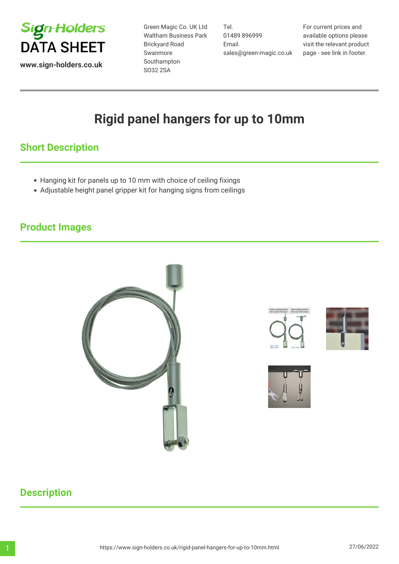

Green Magic Co. UK Ltd Waltham Business Park Brickyard Road Swanmore Southampton SO32 2SA

Tel. 01489 896999 Email. sales@green-magic.co.uk

For current prices and available options please visit the relevant product page - see link in footer.

# **Rigid panel hangers for up to 10mm**

# **Short Description**

- Hanging kit for panels up to 10 mm with choice of ceiling fixings
- Adjustable height panel gripper kit for hanging signs from ceilings

## **Product Images**









# **Description**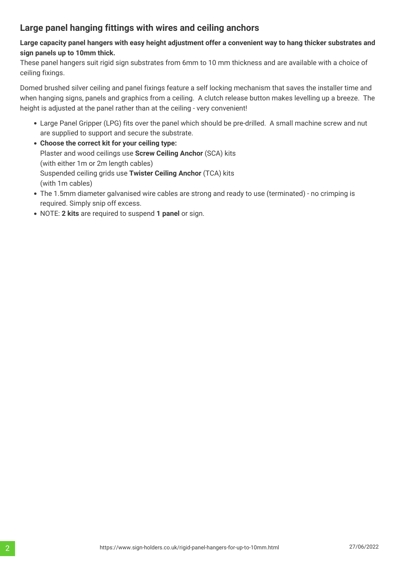### **Large panel hanging fittings with wires and ceiling anchors**

#### **Large capacity panel hangers with easy height adjustment offer a convenient way to hang thicker substrates and sign panels up to 10mm thick.**

These panel hangers suit rigid sign substrates from 6mm to 10 mm thickness and are available with a choice of ceiling fixings.

Domed brushed silver ceiling and panel fixings feature a self locking mechanism that saves the installer time and when hanging signs, panels and graphics from a ceiling. A clutch release button makes levelling up a breeze. The height is adjusted at the panel rather than at the ceiling - very convenient!

- Large Panel Gripper (LPG) fits over the panel which should be pre-drilled. A small machine screw and nut are supplied to support and secure the substrate.
- **Choose the correct kit for your ceiling type:** Plaster and wood ceilings use **Screw Ceiling Anchor** (SCA) kits (with either 1m or 2m length cables) Suspended ceiling grids use **Twister Ceiling Anchor** (TCA) kits (with 1m cables)
- The 1.5mm diameter galvanised wire cables are strong and ready to use (terminated) no crimping is required. Simply snip off excess.
- NOTE: **2 kits** are required to suspend **1 panel** or sign.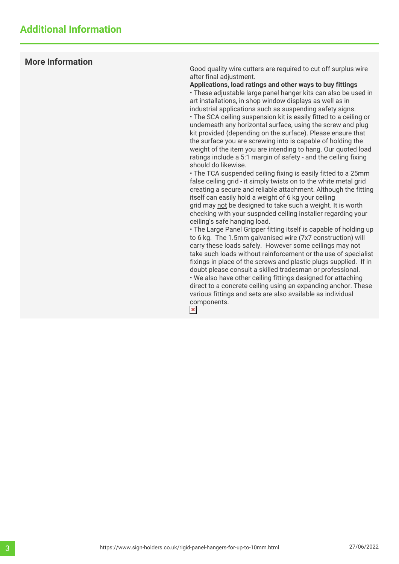#### **More Information**

Good quality wire cutters are required to cut off surplus wire after final adjustment.

**Applications, load ratings and other ways to buy fittings** • These adjustable large panel hanger kits can also be used in art installations, in shop window displays as well as in industrial applications such as suspending safety signs.

• The SCA ceiling suspension kit is easily fitted to a ceiling or underneath any horizontal surface, using the screw and plug kit provided (depending on the surface). Please ensure that the surface you are screwing into is capable of holding the weight of the item you are intending to hang. Our quoted load ratings include a 5:1 margin of safety - and the ceiling fixing should do likewise.

• The TCA suspended ceiling fixing is easily fitted to a 25mm false ceiling grid - it simply twists on to the white metal grid creating a secure and reliable attachment. Although the fitting itself can easily hold a weight of 6 kg your ceiling grid may not be designed to take such a weight. It is worth checking with your suspnded ceiling installer regarding your ceiling's safe hanging load.

• The Large Panel Gripper fitting itself is capable of holding up to 6 kg. The 1.5mm galvanised wire (7x7 construction) will carry these loads safely. However some ceilings may not take such loads without reinforcement or the use of specialist fixings in place of the screws and plastic plugs supplied. If in doubt please consult a skilled tradesman or professional. • We also have other ceiling fittings designed for attaching direct to a concrete ceiling using an expanding anchor. These various fittings and sets are also available as individual components. $\vert x \vert$